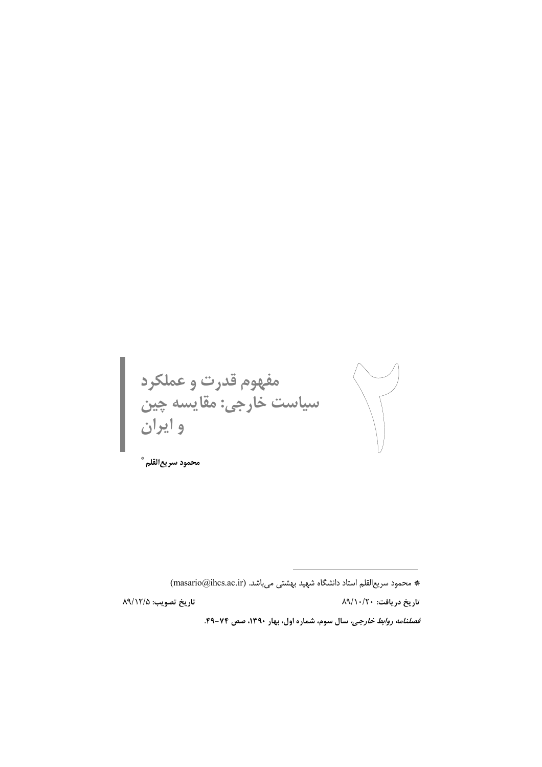مفهوم قدرت و عملکرد<br>سیاست خارجی: مقایسه چین<br>و ایران 

محمود سريع|لقلم ٌ

\* محمود سريع|لقلم استاد دانشگاه شهيد بهشتى مىباشد. (masario@ihcs.ac.ir)

تاريخ تصويب: ٨٩/١٢/٥

تاريخ دريافت: ١٠/٢٠/١٠

قصلنامه روابط خارجي، سال سوم، شماره اول، بهار ١٣٩٠، صص ٧٤-۴٩.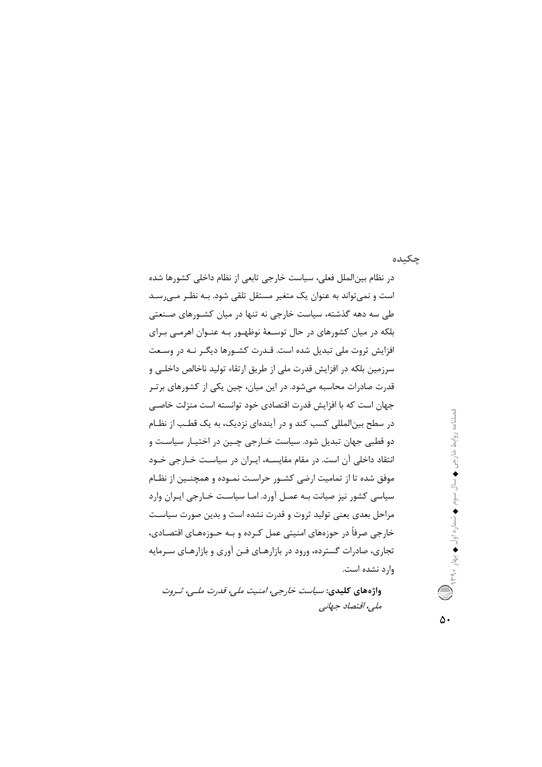چکیده

در نظام بین|لملل فعلی، سیاست خارجی تابعی از نظام داخلی کشورها شده است و نمی تواند به عنوان یک متغیر مستقل تلقی شود. بـه نظـر مـی رسـد طی سه دهه گذشته، سیاست خارجی نه تنها در میان کشـورهای صـنعتی بلکه در میان کشورهای در حال توسعهٔ نوظهـور بـه عنـوان اهرمـی بـرای افزایش ثروت ملی تبدیل شده است. قـدرت کشـورها دیگـر نـه در وسـعت سرزمین بلکه در افزایش قدرت ملی از طریق ارتقاء تولید ناخالص داخلـی و قدرت صادرات محاسبه میشود. در این میان، چین یکی از کشورهای برتـر جهان است که با افزایش قدرت اقتصادی خود توانسته است منزلت خاصـی در سطح بین|لمللی کسب کند و در آیندهای نزدیک، به یک قطـب از نظـام دو قطبی جهان تبدیل شود. سیاست خــارجی چــین در اختیــار سیاســت و انتقاد داخلی آن است. در مقام مقایسـه، ایـران در سیاسـت خـارجی خـود موفق شده تا از تمامیت ارضی کشـور حراسـت نمـوده و همچنـین از نظـام سیاسی کشور نیز صیانت بـه عمـل آورد. امـا سیاسـت خـارجی ایـران وارد مراحل بعدی یعنی تولید ثروت و قدرت نشده است و بدین صورت سیاست خارجي صرفاً در حوزەهاي امنيتي عمل كـرده و بـه حـوزەهـاي اقتصـادي، تجاری، صادرات گسترده، ورود در بازارهـای فــن آوری و بازارهـای ســرمایه وارد نشده است.

واژههای کلیدی: سی*است خارجی، امنیت ملی، قدرت ملـی، ثـروت* ملي، اقتصاد جهاني

فصلنامه روابط خارجی ♦ سال سوم ♦ شماره اول ♦ بهار ٣٩,٠٠ ا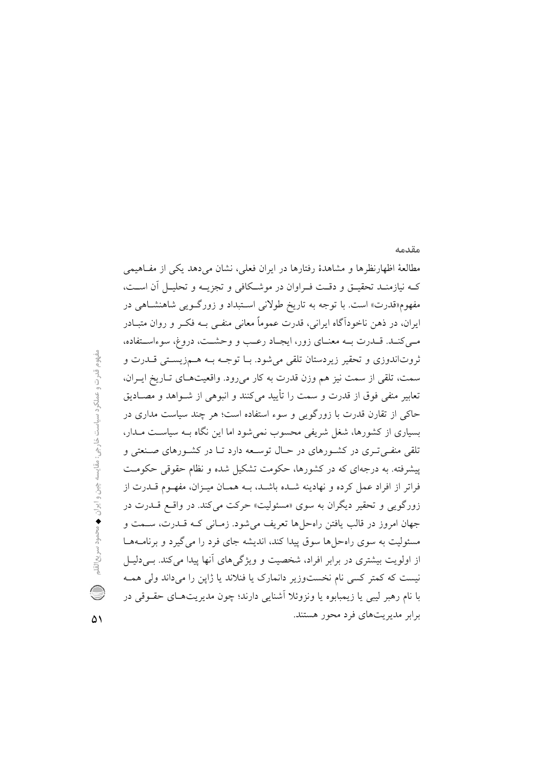مطالعهٔ اظهارنظرها و مشاهدهٔ رفتارها در ایران فعلی، نشان میدهد یکی از مفـاهیمی کــه نیازمنــد تحقیــق و دقــت فــراوان در موشــکافی و تجزیــه و تحلیــل اَن اســت، مفهوم«قدرت» است. با توجه به تاریخ طولانی اسـتبداد و زورگـویی شاهنشـاهی در ایران، در ذهن ناخوداًگاه ایرانی، قدرت عموماً معانی منفـی بـه فکـر و روان متبــادر مـیکنـد. قــدرت بــه معنــای زور، ایجــاد رعــب و وحشــت، دروغ، سوءاســتفاده، ثروتاندوزی و تحقیر زیردستان تلقی می شود. بـا توجـه بـه هـمزیسـتی قــدرت و سمت، تلقی از سمت نیز هم وزن قدرت به کار می رود. واقعیتهای تـاریخ ایـران، تعابیر منفی فوق از قدرت و سمت را تأیید میکنند و انبوهی از شــواهد و مصــادیق حاکی از تقارن قدرت با زورگویی و سوء استفاده است؛ هر چند سیاست مداری در بسیاری از کشورها، شغل شریفی محسوب نمی شود اما این نگاه بـه سیاسـت مـدار، تلقی منفـیتـری در کشـورهای در حـال توسـعه دارد تـا در کشـورهای صـنعتی و پیشرفته. به درجهای که در کشورها، حکومت تشکیل شده و نظام حقوقی حکومت فراتر از افراد عمل کرده و نهادینه شـده باشـد، بـه همـان میـزان، مفهـوم قـدرت از زورگويي و تحقير ديگران به سوي «مسئوليت» حركت مي كند. در واقع قــدرت در جهان امروز در قالب يافتن راهحلها تعريف مي شود. زمـاني كـه قــدرت، ســمت و مسئولیت به سوی راهحلها سوق پیدا کند، اندیشه جای فرد را می گیرد و برنامـههـا از اولویت بیشتری در برابر افراد، شخصیت و ویژگیهای آنها پیدا می کند. بےدلیـل نیست که کمتر کسی نام نخستوزیر دانمارک یا فنلاند یا ژاپن را میداند ولی همـه با نام رهبر ليبي يا زيمبابوه يا ونزوئلا اَشنايي دارند؛ چون مديريتهــاي حقــوقي در برابر مدیریتهای فرد محور هستند.

مقدمه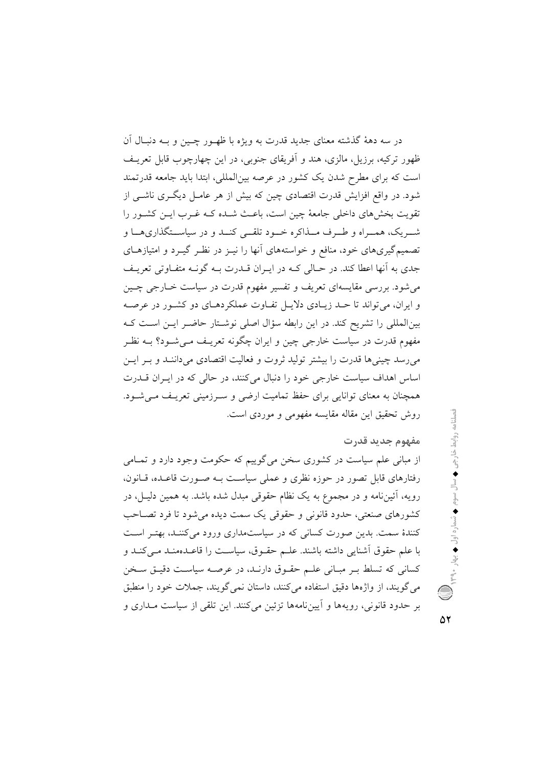در سه دههٔ گذشته معنای جدید قدرت به ویژه با ظهـور چـین و بـه دنبـال آن ظهور ترکیه، برزیل، مالزی، هند و اَفریقای جنوبی، در این چهارچوب قابل تعریـف است که برای مطرح شدن یک کشور در عرصه بین|لمللی، ابتدا باید جامعه قدرتمند شود. در واقع افزایش قدرت اقتصادی چین که بیش از هر عامـل دیگـری ناشــی از تقویت بخشهای داخلی جامعهٔ چین است، باعث شـده کـه غـرب ایــن کشــور را شـریک، همـراه و طـرف مــذاکره خــود تلقــی کنــد و در سیاســتگذاریهــا و تصمیمگیریهای خود، منافع و خواستههای آنها را نیـز در نظـر گیــرد و امتیازهــای جدی به آنها اعطا کند. در حـالی کـه در ایـران قــدرت بــه گونــه متفـاوتی تعریـف مي شود. بررسي مقايسهاي تعريف و تفسير مفهوم قدرت در سياست خــارجي چــين و ایران، می تواند تا حـد زیـادی دلایـل تفـاوت عملکردهـای دو کشـور در عرصـه بین|لمللی را تشریح کند. در این رابطه سؤال اصلی نوشـتار حاضـر ایـن اسـت کـه مفهوم قدرت در سیاست خارجی چین و ایران چگونه تعریـف مـیشـود؟ بـه نظـر می رسد چینیها قدرت را بیشتر تولید ثروت و فعالیت اقتصادی میداننـد و بـر ایـن اساس اهداف سیاست خارجی خود را دنبال می کنند، در حالی که در ایـران قــدرت همچنان به معنای توانایی برای حفظ تمامیت ارضی و سـرزمینی تعریـف مـی شـود. روش تحقیق این مقاله مقایسه مفهومی و موردی است.

مفهوم جديد قدرت از مبانی علم سیاست در کشوری سخن میگوییم که حکومت وجود دارد و تمـامی رفتارهای قابل تصور در حوزه نظری و عملی سیاست بــه صــورت قاعــده، قــانون، رويه، أئيننامه و در مجموع به يک نظام حقوقي مبدل شده باشد. به همين دليـل، در كشورهاي صنعتي، حدود قانوني و حقوقي يك سمت ديده مي شود تا فرد تصـاحب کنندهٔ سمت. بدین صورت کسانی که در سیاست مداری ورود می کننـد، بهتـر اسـت با علم حقوق أشنايي داشته باشند. علـم حقـوق، سياسـت را قاعـدهمنـد مـيكنـد و کسانی که تسلط بـر مبـانی علـم حقـوق دارنـد، در عرصـه سیاسـت دقیـق سـخن می گویند، از واژهها دقیق استفاده می کنند، داستان نمی گویند، جملات خود را منطبق بر حدود قانونی، رویهها و آییننامهها تزئین میکنند. این تلقی از سیاست مـداری و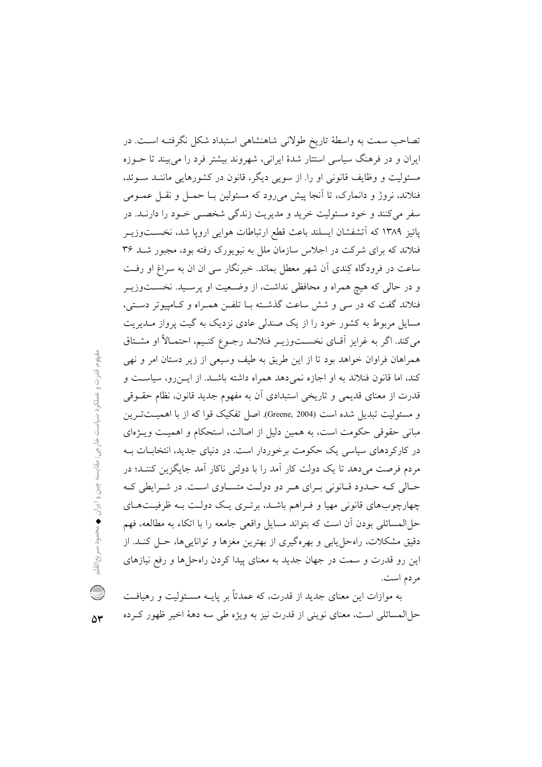تصاحب سمت به واسطهٔ تاریخ طولانی شاهنشاهی استبداد شکل نگرفتـه اسـت. در ایران و در فرهنگ سیاسی استتار شدهٔ ایرانی، شهروند بیشتر فرد را می بیند تا حـوزه مسئولیت و وظایف قانونی او را. از سویی دیگر، قانون در کشورهایی ماننـد سـوئد، فنلاند، نروژ و دانمارک، تا آنجا پیش می رود که مسئولین بـا حمـل و نقـل عمـومی سفر مي کنند و خود مسئوليت خريد و مديريت زندگي شخصـي خــود را دارنــد. در پائیز ۱۳۸۹ که آتشفشان ایسلند باعث قطع ارتباطات هوایی اروپا شد، نخسـتوزیـر فنلاند که برای شرکت در اجلاس سازمان ملل به نیویورک رفته بود، مجبور شـد ۳۶ ساعت در فرودگاه کِندی آن شهر معطل بماند. خبرنگار سی ان ان به سراغ او رفت و در حالي كه هيچ همراه و محافظي نداشت، از وضعيت او پرسـيد. نخســتوزيــر فنلاند گفت که در سی و شش ساعت گذشته بـا تلفـن همـراه و کـامییوتر دسـتی، مسایل مربوط به کشور خود را از یک صندلی عادی نزدیک به گیت پرواز مـدیریت می کند. اگر به غرایز اّقــای نخســتوزیــر فنلانــد رجــوع کنــیم، احتمــالاً او مشــتاق همراهان فراوان خواهد بود تا از این طریق به طیف وسیعی از زیر دستان امر و نهی کند، اما قانون فنلاند به او اجازه نمی دهد همراه داشته باشـد. از ایــزرو، سیاسـت و قدرت از معنای قدیمی و تاریخی استبدادی آن به مفهوم جدید قانون، نظام حقــوقی و مسئوليت تبديل شده است (Greene, 2004). اصل تفكيك قوا كه از با اهميـتتـرين مبانی حقوقی حکومت است، به همین دلیل از اصالت، استحکام و اهمیت ویــژهای در کارکر دهای سیاسی یک حکومت برخوردار است. در دنیای جدید، انتخابـات بــه مردم فرصت می دهد تا یک دولت کار آمد را با دولتی ناکار آمد جایگزین کننــد؛ در حـالي كـه حـدود قـانوني بـراي هـر دو دولـت متسـاوي اسـت. در شـرايطي كـه چهارچوبهای قانونی مهیا و فـراهم باشـد، برتـری یـک دولـت بـه ظرفیـتهـای حل المسائلي بودن أن است كه بتواند مسايل واقعي جامعه را با اتكاء به مطالعه، فهم دقیق مشکلات، راهحل یابی و بهرهگیری از بهترین مغزها و تواناییها، حـل کنـد. از این رو قدرت و سمت در جهان جدید به معنای پیدا کردن راهحلها و رفع نیازهای مردم است.

به موازات این معنای جدید از قدرت، که عمدتاً بر پایــه مسـئولیت و رهیافـت حل المسائلي است، معناي نويني از قدرت نيز به ويژه طي سه دههٔ اخير ظهور كـرده

مفہوم قدرت و عملکرد سیاست خارجی: مقایسه چین و ایران ♦ محمود سریع القلز Q

 $\Delta Y$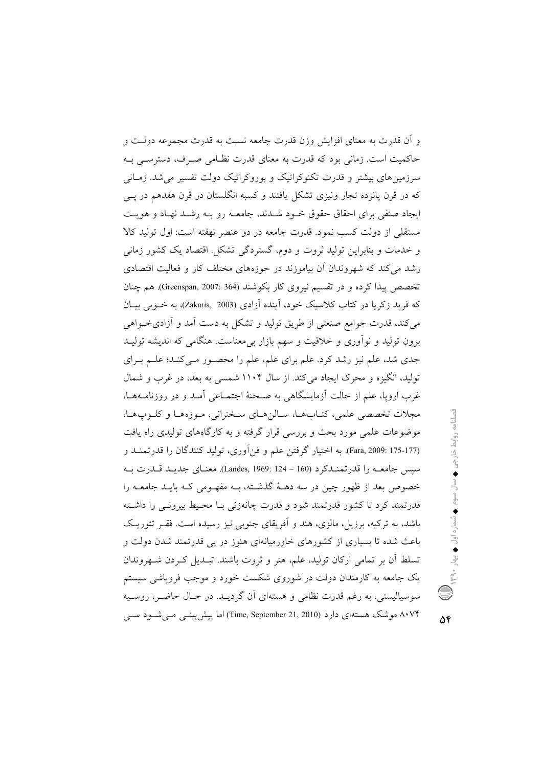و اَن قدرت به معنای افزایش وزن قدرت جامعه نسبت به قدرت مجموعه دولـت و حاکمیت است. زمانی بود که قدرت به معنای قدرت نظـامی صـرف، دسترسـی بـه سرزمینهای بیشتر و قدرت تکنوکراتیک و بوروکراتیک دولت تفسیر می شد. زمـانی که در قرن پانزده تجار ونیزی تشکل یافتند و کسبه انگلستان در قرن هفدهم در پے ایجاد صنفی برای احقاق حقوق خـود شـدند، جامعـه رو بـه رشـد نهـاد و هویـت مستقلَّى از دولت كسب نمود. قدرت جامعه در دو عنصر نهفته است: اول توليد كالا و خدمات و بنابراین تولید ثروت و دوم، گستردگی تشکل اقتصاد یک کشور زمانی رشد می کند که شهروندان آن بیاموزند در حوزههای مختلف کار و فعالیت اقتصادی تخصص پيدا كرده و در تقسيم نيروي كار بكوشند (364 :Greenspan, 2007). هم چنان که فرید زکریا در کتاب کلاسیک خود، آینده آزادی (Zakaria, 2003)، به خــوبی بیـان می کند، قدرت جوامع صنعتی از طریق تولید و تشکل به دست آمد و آزادی خــواهی برون تولید و نواَوری و خلاقیت و سهم بازار بیِمعناست. هنگامی که اندیشه تولیــد جدی شد، علم نیز رشد کرد. علم برای علم، علم را محصور مـیکنـد؛ علـم بـرای تولید، انگیزه و محرک ایجاد میکند. از سال ۱۱۰۴ شمسی به بعد، در غرب و شمال غرب اروپا، علم از حالت أزمايشگاهي به صـحنهٔ اجتمــاعي أمــد و در روزنامــههــا، مجلات تخصصي علمي، كتـابهـا، سـالنهـاي سـخنراني، مـوزههـا و كلـوپهـا، موضوعات علمی مورد بحث و بررسی قرار گرفته و به کارگاههای تولیدی راه یافت (Fara, 2009: 175-177). به اختيار گرفتن علم و فن اوري، توليد كنندگان را قدرتمنـد و سيس جامعــه را قدرتمنــدكرد (Landes, 1969: 124 - 160). معنــاي جديــد قــدرت بــه خصوص بعد از ظهور چین در سه دهـهٔ گذشـته، بـه مفهـومی کـه بایـد جامعـه را قدرتمند کرد تا کشور قدرتمند شود و قدرت چانهزنی بـا محـيط بيرونـي را داشـته باشد، به ترکیه، برزیل، مالزی، هند و آفریقای جنوبی نیز رسیده است. فقس تئوریـک باعث شده تا بسیاری از کشورهای خاورمیانهای هنوز در پی قدرتمند شدن دولت و تسلط أن بر تمامی اركان تولید، علم، هنر و ثروت باشند. تبـدیل كـردن شـهروندان یک جامعه به کارمندان دولت در شوروی شکست خورد و موجب فرویاشی سیستم سوسیالیستی، به رغم قدرت نظامی و هستهای آن گردیـد. در حـال حاضـر، روسـیه ۸۰۷۴ موشک هستهای دارد (Time, September 21, 2010) اما پیش بینبی مبی شـود سـبی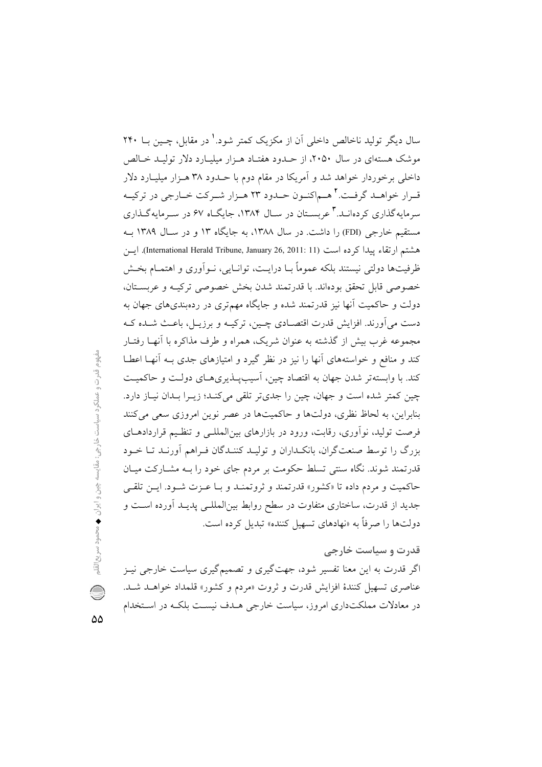سال دیگر تولید ناخالص داخلی آن از مکزیک کمتر شود.' در مقابل، چـین بــا ۲۴۰ موشک هستهای در سال ۲۰۵۰، از حـدود هفتـاد هـزار میلیـارد دلار تولیـد خـالص داخلی برخوردار خواهد شد و آمریکا در مقام دوم با حــدود ۳۸ هــزار میلیــارد دلار قبرار خواهــد گرفــت. <sup>۲</sup>هــماكنــون حــدود ۲۳ هــزار شــركت خــارجي در تركيــه سرمایهگذاری کردهانـد. آ عربسـتان در سـال ۱۳۸۴، جایگــاه ۶۷ در ســرمایهگــذاری مستقیم خارجی (FDI) را داشت. در سال ۱۳۸۸، به جایگاه ۱۳ و در سال ۱۳۸۹ بـه هشتم ارتقاء يبدأ كرده است (International Herald Tribune, January 26, 2011: 11). ايسن ظرفیتها دولتی نیستند بلکه عموماً بـا درایـت، توانــایی، نــواَوری و اهتمــام بخــش خصوصي قابل تحقق بودهاند. با قدرتمند شدن بخش خصوصي تركيبه و عربستان، دولت و حاکمیت آنها نیز قدرتمند شده و جایگاه مهمتری در ردهبندیهای جهان به دست می آورند. افزایش قدرت اقتصـادی چـین، ترکیـه و برزیـل، باعـث شـده کـه مجموعه غرب بیش از گذشته به عنوان شریک، همراه و طرف مذاکره با آنهـا رفتـار کند و منافع و خواستههای آنها را نیز در نظر گیرد و امتیازهای جدی بـه آنهـا اعطـا کند. با وابستهتر شدن جهان به اقتصاد چین، آسیبپـذیریهـای دولـت و حاکمیـت چین کمتر شده است و جهان، چین را جدیتر تلقی میکنـد؛ زیـرا بـدان نیـاز دارد. بنابراین، به لحاظ نظری، دولتها و حاکمیتها در عصر نوین امروزی سعی می کنند فرصت تولید، نوأوری، رقابت، ورود در بازارهای بین|لمللـی و تنظـیم قراردادهــای بزرگ را توسط صنعتگران، بانکـداران و تولیـد کننـدگان فـراهم آورنـد تـا خـود قدرتمند شوند. نگاه سنتی تسلط حکومت بر مردم جای خود را بـه مشــارکت میــان حاكميت و مردم داده تا «كشور» قدرتمند و ثروتمنـد و بـا عـزت شـود. ايـن تلقـى جدید از قدرت، ساختاری متفاوت در سطح روابط بینالمللـی پدیـد آورده اسـت و دولتها را صرفاً به «نهادهای تسهیل کننده» تبدیل کرده است.

قدرت و سیاست خارجی اگر قدرت به این معنا تفسیر شود، جهت گیری و تصمیمگیری سیاست خارجی نیـز عناصری تسهیل کنندهٔ افزایش قدرت و ثروت «مردم و کشور» قلمداد خواهـد شـد. در معادلات مملکتداری امروز، سیاست خارجی هـدف نیسـت بلکـه در اسـتخدام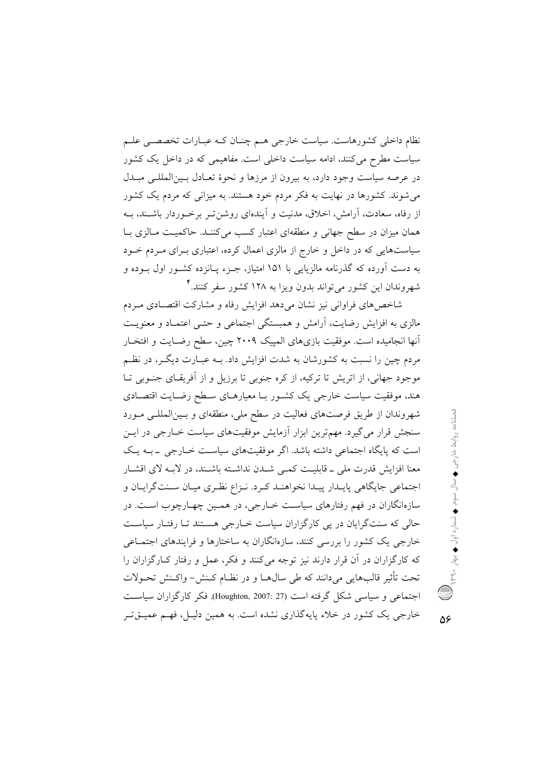نظام داخلی کشورهاست. سیاست خارجی هم چنان کـه عبـارات تخصصـی علـم سیاست مطرح می کنند، ادامه سیاست داخلی است. مفاهیمی که در داخل یک کشور در عرصه سیاست وجود دارد، به بیرون از مرزها و نحوهٔ تعـادل بـینالمللـی مبـدل می شوند. کشورها در نهایت به فکر مردم خود هستند. به میزانی که مردم یک کشور از رفاه، سعادت، آرامش، اخلاق، مدنیت و آیندهای روشن تـر برخـوردار باشـند، بـه همان میزان در سطح جهانی و منطقهای اعتبار کسب میکننـد. حاکمیـت مـالزی بـا سیاستهایی که در داخل و خارج از مالزی اعمال کرده، اعتباری بـرای مـردم خـود به دست آورده که گذرنامه مالزپایی با ۱۵۱ امتیاز، جـزء پـانزده کشـور اول بــوده و شهروندان این کشور میتواند بدون ویزا به ۱۲۸ کشور سفر کنند.۴

شاخص های فراوانی نیز نشان می دهد افزایش رفاه و مشارکت اقتصـادی مـردم مالزی به افزایش رضایت، آرامش و همبستگی اجتماعی و حتبی اعتمـاد و معنویـت أنها انجامیده است. موفقیت بازیهای المپیک ۲۰۰۹ چین، سطح رضـایت و افتخـار مردم چین را نسبت به کشورشان به شدت افزایش داد. بــه عبــارت دیگــر، در نظــم موجود جهانی، از اتریش تا ترکیه، از کره جنوبی تا برزیل و از آفریقـای جنــوبی تــا هند، موفقیت سیاست خارجی یک کشـور بـا معیارهـای سـطح رضـایت اقتصـادی شهروندان از طریق فرصتهای فعالیت در سطح ملی، منطقهای و بـینالمللـی مـورد سنجش قرار می گیرد. مهم ترین ابزار آزمایش موفقیتهای سیاست خــارجی در ایــن است که پایگاه اجتماعی داشته باشد. اگر موفقیتهای سیاست خـارجی -بـه یـک معنا افزایش قدرت ملی ــ قابلیــت کمــی شــدن نداشــته باشــند، در لابــه لای اقشــار اجتماعي جايگاهي پايـدار پيـدا نخواهنـد كـرد. نـزاع نظـري ميـان سـنتگرايـان و سازهانگاران در فهم رفتارهای سیاست خــارجی، در همـین چهـارچوب اسـت. در حالی که سنتگرایان در پی کارگزاران سیاست خیارجی هستند تبا رفتیار سیاست خارجی یک کشور را بررسی کنند، سازهانگاران به ساختارها و فرایندهای اجتمـاعی که کارگزاران در آن قرار دارند نیز توجه میکنند و فکر، عمل و رفتار کـارگزاران را تحت تأثير قالبِهايي مي دانند كه طي سال هـا و در نظـام كـنش- واكـنش تحـولات اجتماعی و سیاسی شکل گرفته است (Houghton, 2007: 27). فکر کارگزاران سیاست خارجی یک کشور در خلاء پایهگذاری نشده است. به همین دلیـل، فهـم عمیـقتـر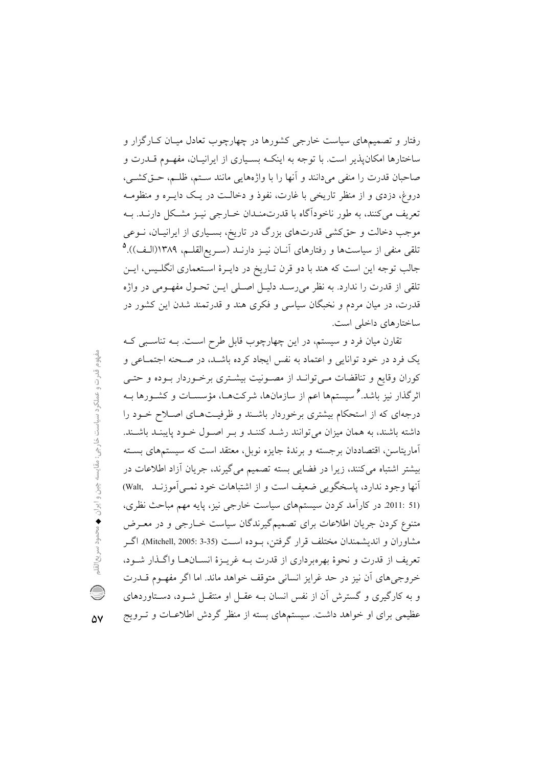رفتار و تصمیمهای سیاست خارجی کشورها در چهارچوب تعادل میـان کـارگزار و ساختارها امکان پذیر است. با توجه به اینکـه بسـیاری از ایرانیـان، مفهـوم قــدرت و صاحبان قدرت را منفى مىدانند و أنها را با واژههايى مانند سـتم، ظلـم، حـقكشـى، دروغ، دزدی و از منظر تاریخی با غارت، نفوذ و دخالـت در یـک دایــره و منظومــه تعریف می کنند، به طور ناخودآگاه با قدرتمنـدان خــارجی نیـز مشــکل دارنــد. بــه موجب دخالت و حق کشی قدرتهای بزرگ در تاریخ، بسـیاری از ایرانیـان، نــوعی تلقی منفی از سیاستها و رفتارهای آنــان نیــز دارنــد (ســریع|لقلــم، ۱۳۸۹(الــف)).<sup>۵</sup> جالب توجه این است که هند با دو قرن تـاریخ در دایـرهٔ اسـتعماری انگلـیس، ایـن تلقى از قدرت را ندارد. به نظر مى رسـد دليـل اصـلى ايــن تحــول مفهــومى در واژه قدرت، در میان مردم و نخبگان سیاسی و فکری هند و قدرتمند شدن این کشور در ساختارهای داخلی است.

تقارن میان فرد و سیستم، در این چهارچوب قابل طرح است. بـه تناسبی کـه یک فرد در خود توانایی و اعتماد به نفس ایجاد کرده باشـد، در صـحنه اجتمـاعی و کوران وقایع و تناقضات مـیتوانـد از مصـونیت بیشـتری برخـوردار بـوده و حتـی اثر گذار نیز باشد.<sup>۶</sup> سیستمها اعم از سازمانها، شرکتهـا، مؤسسـات و کشـورها بــه درجهای که از استحکام بیشتری برخوردار باشـند و ظرفیـتهـای اصـلاح خـود را داشته باشند، به همان میزان می توانند رشـد کننـد و بـر اصـول خـود پایبنـد باشـند. آماریتاسن، اقتصاددان برجسته و برندهٔ جایزه نوبل، معتقد است که سیستمهای بسته بیشتر اشتباه می کنند، زیرا در فضایی بسته تصمیم می گیرند، جریان آزاد اطلاعات در آنها وجود ندارد، پاسخگویی ضعیف است و از اشتباهات خود نمبی آموزنـد (Walt (51 :2011 در کارآمد کردن سیستمهای سیاست خارجی نیز، پایه مهم مباحث نظری، متنوع کردن جریان اطلاعات برای تصمیمگیرندگان سیاست خــارجی و در معـرض مشاوران و اندیشمندان مختلف قرار گرفتن، بـوده اسـت (3-3 :Mitchell, 2005). اگـر تعريف از قدرت و نحوهٔ بهرهبرداري از قدرت بـه غريـزهٔ انســانهــا واگــذار شــود، خروجي هاي أن نيز در حد غرايز انساني متوقف خواهد ماند. اما اگر مفهـوم قـــدرت و به کارگیری و گسترش آن از نفس انسان بــه عقــل او منتقــل شــود، دســتاوردهای عظیمی برای او خواهد داشت. سیستمهای بسته از منظر گردش اطلاعـات و تـرویج

مفهوم قدرت و عملکرد سیاست خارجی: مقایسه چین و ایران ♦ محمود سریع|لقل Q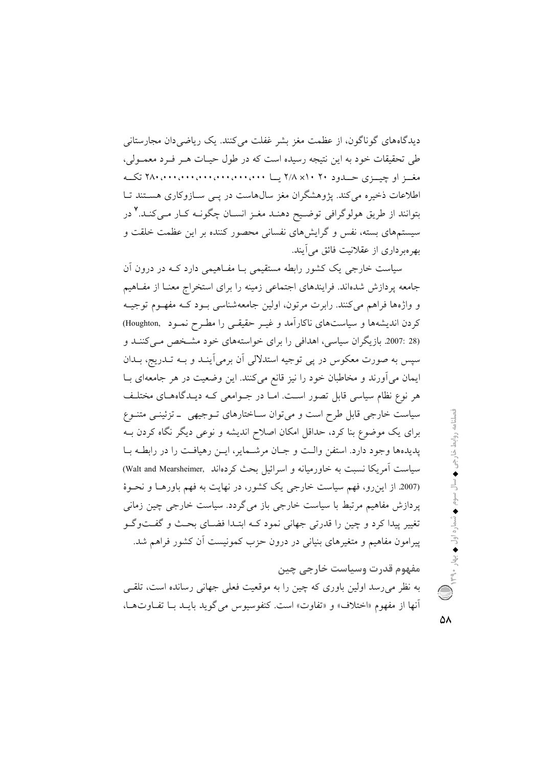دیدگاههای گوناگون، از عظمت مغز بشر غفلت می کنند. یک ریاضی دان مجارستانی طی تحقیقات خود به این نتیجه رسیده است که در طول حیـات هــر فــرد معمــولی، مغــز او چیـــزی حـــدود ۲۰ ۰۱۰ x۱۰ یــا ۲/۸ ۰،۰۰،۰۰۰،۰۰۰،۰۰۰،۰۰۰ تکــه اطلاعات ذخیره می کند. پژوهشگران مغز سال۵هاست در پــی ســازوکاری هســتند تــا بتوانند از طریق هولوگرافی توضیح دهنـد مغـز انسـان چگونـه کـار مـیکنـد.<sup>۷</sup> در سیستمهای بسته، نفس و گرایشهای نفسانی محصور کننده بر این عظمت خلقت و بھر میر داری از عقلانیت فائق می آیند.

سیاست خارجی یک کشور رابطه مستقیمی بـا مفـاهیمی دارد کـه در درون آن جامعه پردازش شدهاند. فرایندهای اجتماعی زمینه را برای استخراج معنـا از مفـاهیم و واژهها فراهم مي کنند. رابرت مرتون، اولين جامعهشناسي بـود کـه مفهـوم توجيـه کردن اندیشهها و سیاستهای ناکارآمد و غیـر حقیقـی را مطـرح نمـود Roughton, (28 :2007. بازیگران سیاسی، اهدافی را برای خواستههای خود مشـخص مـی کننــد و سیس به صورت معکوس در یی توجیه استدلالی آن برمی آینـد و بــه تــدریج، بــدان ایمان می آورند و مخاطبان خود را نیز قانع می کنند. این وضعیت در هر جامعهای بـا هر نوع نظام سیاسی قابل تصور است. امـا در جــوامعی کــه دیــدگاههــای مختلــف سیاست خارجی قابل طرح است و می توان سـاختارهای تـوجیهی \_ تزئینـی متنـوع برای یک موضوع بنا کرد، حداقل امکان اصلاح اندیشه و نوعی دیگر نگاه کردن بـه پدیدهها وجود دارد. استفن والت و جبان مرشمایر، ایـن رهیافـت را در رابطـه بـا سیاست اَمریکا نسبت به خاورمیانه و اسرائیل بحث کردهاند .Walt and Mearsheimer) (2007. از این رو، فهم سیاست خارجی یک کشور، در نهایت به فهم باورهـا و نحـوهٔ یردازش مفاهیم مرتبط با سیاست خارجی باز می گردد. سیاست خارجی چین زمانی تغییر پیدا کرد و چین را قدرتی جهانی نمود کـه ابتـدا فضـای بحـث و گفـتوگـو پیرامون مفاهیم و متغیرهای بنیانی در درون حزب کمونیست آن کشور فراهم شد.

مفهوم قدرت وسياست خارجي چين به نظر میرسد اولین باوری که چین را به موقعیت فعلی جهانی رسانده است، تلقبی آنها از مفهوم «اختلاف» و «تفاوت» است. كنفوسيوس مي گويد بايـد بــا تفــاوتهــا،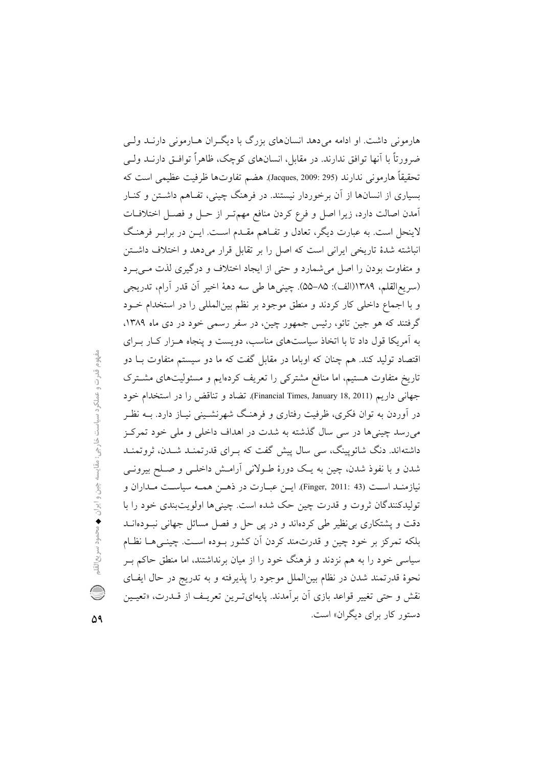هارمونی داشت. او ادامه می دهد انسانهای بزرگ با دیگران هـارمونی دارنـد ولـی ضرورتاً با آنها توافق ندارند. در مقابل، انسانهای کوچک، ظاهراً توافـق دارنــد ولــی تحقيقاً هارموني ندارند (295 :Jacques, 2009) هضم تفاوتها ظرفيت عظيمي است كه بسیاری از انسانها از آن برخوردار نیستند. در فرهنگ چینی، تفـاهم داشـتن و کنــار آمدن اصالت دارد، زیرا اصل و فرع کردن منافع مهم تـر از حـل و فصـل اختلافـات لاینحل است. به عبارت دیگر، تعادل و تفـاهم مقـدم اسـت. ایــن در برابــر فرهنـگ انباشته شدهٔ تاریخی ایرانی است که اصل را بر تقابل قرار میدهد و اختلاف داشتن و متفاوت بودن را اصل می شمارد و حتی از ایجاد اختلاف و درگیری لذت مے برد (سريع|لقلم، ١٣٨٩(الف): ٨٥–٥٥). چيني ها طي سه دههٔ اخير أن قدر أرام، تدريجي و با اجماع داخلی کار کردند و منطق موجود بر نظم بینالمللی را در استخدام خـود گرفتند که هو جین تائو، رئیس جمهور چین، در سفر رسمی خود در دی ماه ۱۳۸۹، به آمریکا قول داد تا با اتخاذ سیاستهای مناسب، دویست و پنجاه هـزار کـار بـرای اقتصاد تولید کند. هم چنان که اوباما در مقابل گفت که ما دو سیستم متفاوت بـا دو تاریخ متفاوت هستیم، اما منافع مشترکی را تعریف کردهایم و مسئولیتهای مشترک جهانی داریم (Financial Times, January 18, 2011). تضاد و تناقض را در استخدام خود در آوردن به توان فکری، ظرفیت رفتاری و فرهنگ شهرنشـینی نیـاز دارد. بــه نظـر می رسد چینی ها در سی سال گذشته به شدت در اهداف داخلی و ملی خود تمرکز داشتهاند. دنگ شائوپینگ، سی سال پیش گفت که بـرای قدرتمنـد شــدن، ثروتمنـد شدن و با نفوذ شدن، چین به یک دورهٔ طـولانی اَرامـش داخلـی و صـلح بیرونـی نيازمنـد اسـت (Finger, 2011: 43). ايـن عبـارت در ذهـن همـه سياسـت مـداران و توليدكنندگان ثروت و قدرت چين حک شده است. چيني ها اولويتبندي خود را با دقت و پشتکاری بی نظیر طی کردهاند و در پی حل و فصل مسائل جهانی نب ودهانــد بلکه تمرکز بر خود چین و قدرتمند کردن اَن کشور بـوده اسـت. چینــی۱هـا نظـام سیاسی خود را به هم نزدند و فرهنگ خود را از میان برنداشتند، اما منطق حاکم بـر نحوهٔ قدرتمند شدن در نظام بینالملل موجود را پذیرفته و به تدریج در حال ایفای نقش و حتى تغيير قواعد بازى أن بر أمدند. يايهاىتـرين تعريـف از قــدرت، «تعيـين دستور کار برای دیگران» است.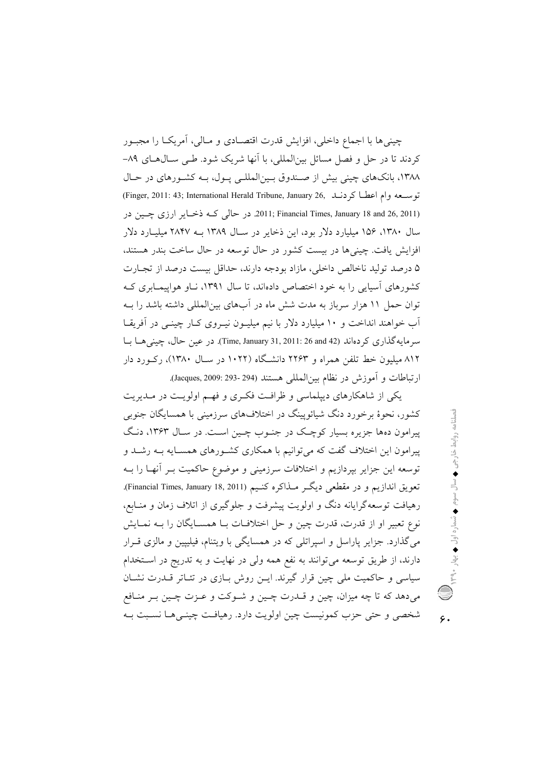چینیها با اجماع داخلی، افزایش قدرت اقتصـادی و مـالی، آمریکـا را مجبـور کردند تا در حل و فصل مسائل بینالمللی، با آنها شریک شود. طـی سـالهـای ۸۹-۱۳۸۸، بانکهای چینی بیش از صندوق بینالمللهی پول، بـه کشورهای در حـال توسعه وام اعطـا كردنـد ,Finger, 2011: 43; International Herald Tribune, January 26) 2011) 2011; Financial Times, January 18 and 26, 2011) در حالی کـه ذخـایر ارزی چـین در سال ۱۳۸۰، ۱۵۶ میلیارد دلار بود، این ذخایر در سـال ۱۳۸۹ بـه ۲۸۴۷ میلیــارد دلار افزایش یافت. چینی ها در بیست کشور در حال توسعه در حال ساخت بندر هستند، ۵ درصد تولید ناخالص داخلی، مازاد بودجه دارند، حداقل بیست درصد از تجـارت کشورهای آسیایی را به خود اختصاص دادهاند، تا سال ۱۳۹۱، نـاو هواپیمـابری کـه توان حمل ١١ هزار سرباز به مدت شش ماه در آبهای بین(لمللی داشته باشد را بـه آب خواهند انداخت و ۱۰ میلیارد دلار با نیم میلیـون نیـروی کـار چینـی در آفریقـا سرمايه گذاري كردهاند (28 and 42 :11: 26 Time, January 31, 2011). در عين حال، چيني هـا بـا ۸۱۲ میلیون خط تلفن همراه و ۲۲۶۳ دانشگاه (۱۰۲۲ در سـال ۱۳۸۰)، رکــورد دار ارتباطات و آموزش در نظام بين المللي هستند (294-293 :Jacques, 2009).

یکی از شاهکارهای دیپلماسی و ظرافت فکری و فهم اولویت در مـدیریت کشور، نحوهٔ برخورد دنگ شیائوپینگ در اختلافهای سرزمینی با همسایگان جنوبی پیرامون دهها جزیره بسیار کوچک در جنـوب چـین اسـت. در سـال ۱۳۶۳، دنـگ پیرامون این اختلاف گفت که میتوانیم با همکاری کشورهای همسـایه بـه رشـد و توسعه این جزایر بپردازیم و اختلافات سرزمینی و موضوع حاکمیت بـر آنهـا را بــه تعويق اندازيم و در مقطعي ديگـر مــذاكره كنــيم (Financial Times, January 18, 2011). رهیافت توسعهگرایانه دنگ و اولویت پیشرفت و جلوگیری از اتلاف زمان و منـابع، نوع تعبير او از قدرت، قدرت چين و حل اختلافــات بــا همســايگان را بــه نمــايش می گذارد. جزایر پاراسل و اسپراتلی که در همسایگی با ویتنام، فیلیپین و مالزی قــرار دارند، از طریق توسعه می توانند به نفع همه ولی در نهایت و به تدریج در استخدام سیاسی و حاکمیت ملی چین قرار گیرند. ایـن روش بـازی در تئـاتر قـدرت نشـان میدهد که تا چه میزان، چین و قــدرت چــین و شــوکت و عــزت چــین بــر منــافع شخصی و حتی حزب کمونیست چین اولویت دارد. رهپافت چینبی هـا نسـبت بـه

 $\zeta$ .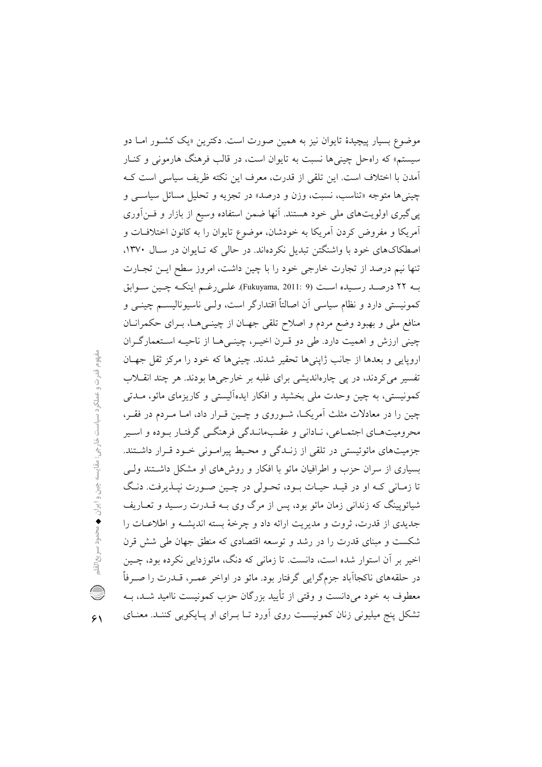موضوع بسیار پیچیدهٔ تایوان نیز به همین صورت است. دکترین «یک کشـور امـا دو سیستم» که راهحل چینیها نسبت به تایوان است، در قالب فرهنگ هارمونی و کنـار آمدن با اختلاف است. این تلقی از قدرت، معرف این نکته ظریف سیاسی است ک چينې ها متوجه «تناسب، نسبت، وزن و درصد» در تجزيه و تحليل مسائل سياسي و یه گیری اولویتهای ملی خود هستند. آنها ضمن استفاده وسیع از بازار و فـنآوری آمریکا و مفروض کردن آمریکا به خودشان، موضوع تایوان را به کانون اختلافات و اصطکاکهای خود با واشنگتن تبدیل نکردهاند. در حالی که تـایوان در سـال ۱۳۷۰، تنها نیم درصد از تجارت خارجی خود را با چین داشت، امروز سطح ایـن تجـارت بـه ٢٢ درصـد رسـيده اسـت (Fukuyama, 2011: 9). علـي رغـم اينكـه چـين سـوابق كمونيستي دارد و نظام سياسي أن اصالتاً اقتدارگر است، ولـي ناسيوناليســم چينــي و منافع ملي و بهبود وضع مردم و اصلاح تلقى جهــان از چينــي۵ــا، بــراى حكمرانــان چینی ارزش و اهمیت دارد. طی دو قـرن اخیـر، چینـیهـا از ناحیـه اسـتعمارگـران اروپایی و بعدها از جانب ژاپنیها تحقیر شدند. چینیها که خود را مرکز ثقل جهـان تفسیر میکردند، در پی چارهاندیشی برای غلبه بر خارجیها بودند. هر چند انقــلاب کمونیستی، به چین وحدت ملی بخشید و افکار ایدهآلیستی و کاریزمای مائو، مــدتی چین را در معادلات مثلث آمریک)، شـوروی و چـین قـرار داد، امـا مـردم در فقـر، محرومیتهـای اجتمـاعی، نـادانی و عقـبِمانـدگی فرهنگـی گرفتـار بـوده و اسـير جزمیتهای مائوئیستی در تلقی از زنـدگی و محـیط پیرامـونی خـود قـرار داشـتند. بسیاری از سران حزب و اطرافیان مائو با افکار و روش۵مای او مشکل داشـتند ولـی تا زمـاني كـه او در قيـد حيـات بـود، تحـولى در چـين صـورت نپـذيرفت. دنـگ شیائویینگ که زندانی زمان مائو بود، پس از مرگ وی بـه قــدرت رسـید و تعــاریف جدیدی از قدرت، ثروت و مدیریت ارائه داد و چرخهٔ بسته اندیشـه و اطلاعـات را شکست و مبنای قدرت را در رشد و توسعه اقتصادی که منطق جهان طی شش قرن اخیر بر آن استوار شده است، دانست. تا زمانی که دنگ، مائوزدایی نکرده بود، چـین در حلقههای ناکجاآباد جزمگرایی گرفتار بود. مائو در اواخر عمـر، قــدرت را صــرفاً معطوف به خود می(انست و وقتی از تأیید بزرگان حزب کمونیست ناامید شـد، بــه تشکل پنج میلیونی زنان کمونیست روی آورد تـا بـرای او پـایکوبی کننـد. معنـای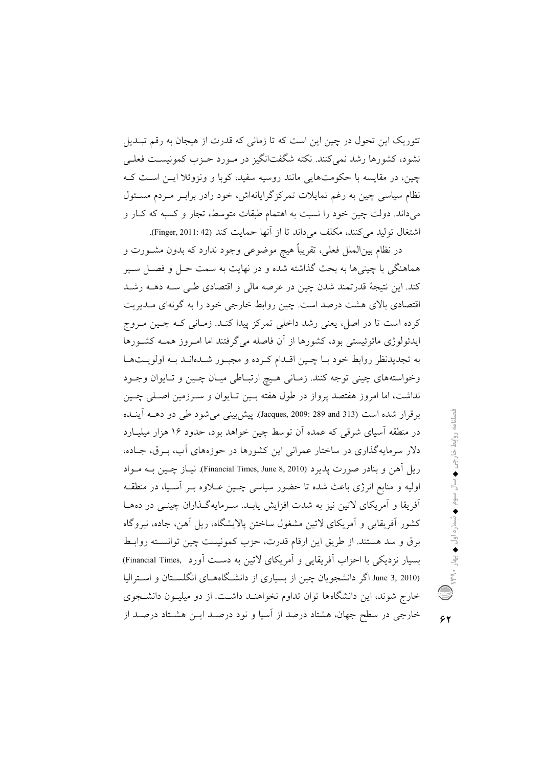تئوریک این تحول در چین این است که تا زمانی که قدرت از هیجان به رقم تبـدیل نشود، كشورها رشد نمي كنند. نكته شگفت|نگيز در مـورد حـزب كمونيسـت فعلـي چین، در مقایسه با حکومتهایی مانند روسیه سفید، کوبا و ونزوئلا ایـن اسـت کـه نظام سیاسی چین به رغم تمایلات تمرکز گرایانهاش، خود رادر براب مردم مسئول میداند. دولت چین خود را نسبت به اهتمام طبقات متوسط، تجار و کسبه که کـار و اشتغال توليد مي كنند، مكلف مي داند تا از آنها حمايت كند (Finger, 2011: 42).

در نظام بین|لملل فعلی، تقریباً هیچ موضوعی وجود ندارد که بدون مشــورت و هماهنگی با چینیها به بحث گذاشته شده و در نهایت به سمت حـل و فصـل سـیر كند. اين نتيجهٔ قدرتمند شدن چين در عرصه مالي و اقتصادي طـي ســه دهــه رشــد اقتصادی بالای هشت درصد است. چین روابط خارجی خود را به گونهای مـدیریت کرده است تا در اصل، یعنی رشد داخلی تمرکز پیدا کنـد. زمـانی کـه چـین مـروج ایدئولوژی مائوئیستی بود، کشورها از آن فاصله میگرفتند اما امـروز همـه کشـورها به تجدیدنظر روابط خود بـا چـین اقـدام کـرده و مجبـور شـدهانـد بـه اولویـتهـا وخواستههای چینی توجه کنند. زمـانی هـیچ ارتبـاطی میـان چـین و تـایوان وجـود نداشت، اما امروز هفتصد پرواز در طول هفته بــین تــایوان و ســرزمین اصــلی چــین برقرار شده است (313 and 289 and 2009: Jacques, پیش بینی می شود طی دو دهــه آینــده در منطقه آسیای شرقی که عمده آن توسط چین خواهد بود، حدود ۱۶ هزار میلیـارد دلار سرمایهگذاری در ساختار عمرانی این کشورها در حوزههای أب، بـرق، جـاده، ريل آهن و بنادر صورت يذيرد (Financial Times, June 8, 2010). نيــاز چــين بــه مــواد اولیه و منابع انرژی باعث شده تا حضور سیاسی چـین عــلاوه بــر آسـیا، در منطقــه آفریقا و آمریکای لاتین نیز به شدت افزایش یابـد. سـرمایهگـذاران چینـی در دههـا کشور آفریقایی و آمریکای لاتین مشغول ساختن پالایشگاه، ریل آهن، جاده، نیروگاه برق و سد هستند. از طريق اين ارقام قدرت، حزب كمونيست چين توانسته روابط بسیار نزدیکی با احزاب آفریقایی و آمریکای لاتین به دست آورد .Financial Times) June 3, 2010 اگر دانشجویان چین از بسیاری از دانشگاههـای انگلسـتان و اسـترالیا خارج شوند، این دانشگاهها توان تداوم نخواهنـد داشـت. از دو میلیـون دانشـجوی خارجی در سطح جهان، هشتاد درصد از آسیا و نود درصـد ایــن هشــتاد درصــد از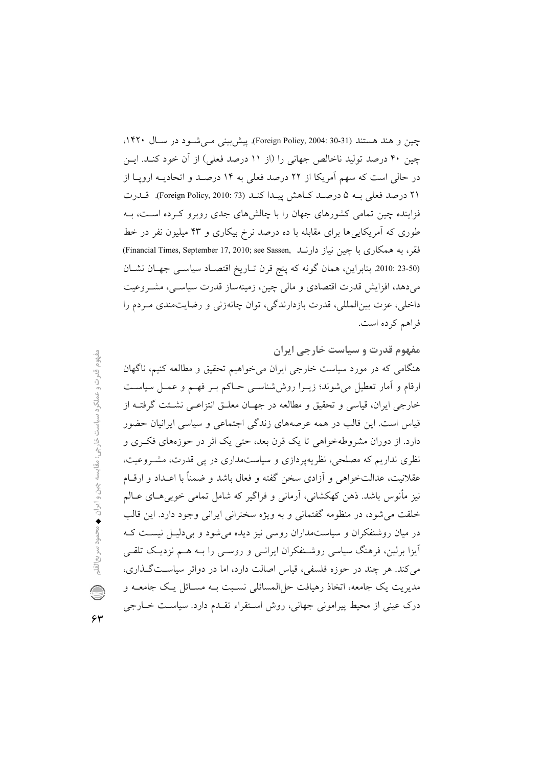چین و هند هستند (Foreign Policy, 2004: 30-31). پیش بینی می شود در سال ۱۴۲۰، چین ۴۰ درصد تولید ناخالص جهانی را (از ۱۱ درصد فعلی) از آن خود کنـد. ایـن در حالي است كه سهم آمريكا از ٢٢ درصد فعلي به ١۴ درصـد و اتحاديــه اروپــا از ۲۱ درصد فعلی به ۵ درصد کاهش پیدا کند (Foreign Policy, 2010: 73). قیدرت فزاینده چین تمامی کشورهای جهان را با چالش های جدی روبرو که ده است، بـه طوری که آمریکاییها برای مقابله با ده درصد نرخ بیکاری و ۴۳ میلیون نفر در خط فقر، به همکاری با چین نیاز دارنـد .Financial Times, September 17, 2010; see Sassen) (23-50 :2010. بنابراين، همان گونه كه پنج قرن تـاريخ اقتصـاد سياسـي جهـان نشـان می دهد، افزایش قدرت اقتصادی و مالی چین، زمینهساز قدرت سیاسبی، مشـروعیت داخلي، عزت بين|لمللي، قدرت بازدارندگي، توان چانەزنى و رضايت مندى مـردم را فراهم كرده است.

مفهوم قدرت و عملکرد سیاست خارجی: مقایسه چین و ایران ♦ محمود سریح|لقل  $\bigcirc$  $54$ 

مفهوم قدرت و سیاست خارجی ایران هنگامی که در مورد سیاست خارجی ایران می خواهیم تحقیق و مطالعه کنیم، ناگهان ارقام و آمار تعطیل می شوند؛ زیــرا روش شناســی حــاکم بــر فهــم و عمــل سیاســت خارجی ایران، قیاسی و تحقیق و مطالعه در جهـان معلـق انتزاعـی نشـئت گرفتـه از قیاس است. این قالب در همه عرصههای زندگی اجتماعی و سیاسی ایرانیان حضور دارد. از دوران مشروطهخواهی تا یک قرن بعد، حتی یک اثر در حوزههای فکری و نظری نداریم که مصلحی، نظریهپردازی و سیاستمداری در پی قدرت، مشـروعیت، عقلانیت، عدالتخواهی و اّزادی سخن گفته و فعال باشد و ضمناً با اعـداد و ارقــام نیز مأنوس باشد. ذهن کهکشانی، آرمانی و فراگیر که شامل تمامی خوبی هـای عــالـم خلقت می شود، در منظومه گفتمانی و به ویژه سخنرانی ایرانی وجود دارد. این قالب در میان روشنفکران و سیاستمداران روسی نیز دیده می شود و بی دلیــل نیســت کــه اًیزا برلین، فرهنگ سیاسی روشـنفکران ایرانـی و روســی را بــه هــم نزدیـک تلقــی می کند. هر چند در حوزه فلسفی، قیاس اصالت دارد، اما در دوائر سیاست گذاری، مديريت يک جامعه، اتخاذ رهيافت حل|لمسائلي نسـبت بـه مســائل يـک جامعــه و درک عینی از محیط پیرامونی جهانی، روش استقراء تقـدم دارد. سیاسـت خــارجی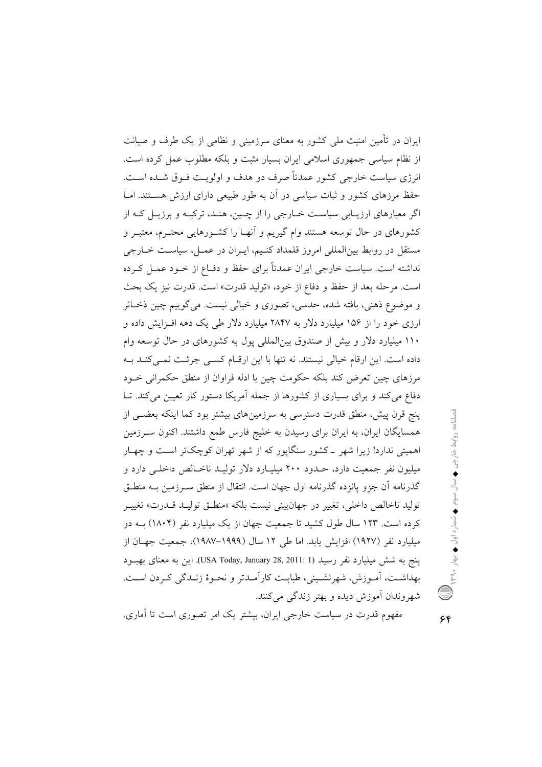ایران در تأمین امنیت ملی کشور به معنای سرزمینی و نظامی از یک طرف و صیانت از نظام سیاسی جمهوری اسلامی ایران بسیار مثبت و بلکه مطلوب عمل کرده است. انرژی سیاست خارجی کشور عمدتاً صرف دو هدف و اولویـت فـوق شـده اسـت. حفظ مرزهای کشور و ثبات سیاسی در آن به طور طبیعی دارای ارزش هســتند. امــا اگر معیارهای ارزیـابی سیاسـت خـارجی را از چـین، هنـد، ترکیـه و برزیـل کـه از کشورهای در حال توسعه هستند وام گیریم و آنهـا را کشــورهایی محتــرم، معتبــر و مستقل در روابط بین|لمللی امروز قلمداد کنـیم، ایـران در عمـل، سیاسـت خـارجی نداشته است. سیاست خارجی ایران عمدتاً برای حفظ و دفـاع از خــود عمــل کــرده است. مرحله بعد از حفظ و دفاع از خود، «توليد قدرت» است. قدرت نيز يک بحث و موضوع ذهني، بافته شده، حدسي، تصوري و خيالي نيست. مي گوييم چين ذخـائر ارزی خود را از ۱۵۶ میلیارد دلار به ۲۸۴۷ میلیارد دلار طی یک دهه افـزایش داده و ۱۱۰ میلیارد دلار و بیش از صندوق بین المللی پول به کشورهای در حال توسعه وام داده است. این ارقام خیالی نیستند. نه تنها با این ارقـام کسـی جرئـت نمـی کنـد بـه مرزهای چین تعرض کند بلکه حکومت چین با ادله فراوان از منطق حکمرانی خــود دفاع می کند و برای بسیاری از کشورها از جمله آمریکا دستور کار تعیین می کند. تــا پنج قرن پیش، منطق قدرت دسترسی به سرزمینهای بیشتر بود کما اینکه بعضبی از همسایگان ایران، به ایران برای رسیدن به خلیج فارس طمع داشتند. اکنون سـرزمین اهمیتی ندارد! زیرا شهر ــ کشور سنگاپور که از شهر تهران کوچکتر اسـت و چهـار میلیون نفر جمعیت دارد، حــدود ۲۰۰ میلیــارد دلار تولیــد ناخــالص داخلــی دارد و گذرنامه آن جزو پانزده گذرنامه اول جهان است. انتقال از منطق سـرزمین بــه منطــق توليد ناخالص داخلي، تغيير در جهان بيني نيست بلكه «منطـق توليـد قـدرت» تغييـر کرده است. ۱۲۳ سال طول کشید تا جمعیت جهان از یک میلیارد نفر (۱۸۰۴) به دو میلیارد نفر (۱۹۲۷) افزایش یابد. اما طی ۱۲ سال (۱۹۹۹–۱۹۸۷)، جمعیت جهـان از ينج به شش ميليارد نفر رسيد (USA Today, January 28, 2011: 1). اين به معناي بهبود بهداشت، آمـوزش، شهرنشـيني، طبابـت كاراًمـدتر و نحـوهٔ زنـدگی كـردن اسـت. شهروندان آموزش ديده و بهتر زندگي مي كنند.

فصلتاه تهرانية المجرية المستوم المستوم المستوم المستورية المستورية المستورية المستورية المستورية المستورية المستورية

مفهوم قدرت در سیاست خارجی ایران، بیشتر یک امر تصوری است تا آماری.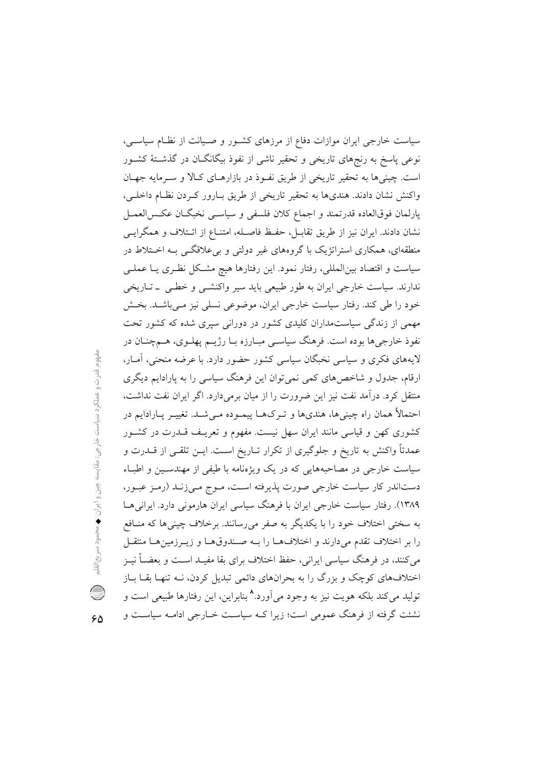سیاست خارجی ایران موازات دفاع از مرزهای کشور و صـیانت از نظـام سیاسـی، نوعی پاسخ به رنجهای تاریخی و تحقیر ناشی از نفوذ بیگانگــان در گذشــتهٔ کشــور است. چینی ها به تحقیر تاریخی از طریق نفوذ در بازارهای کالا و سرمایه جهان واكنش نشان دادند. هنديها به تحقير تاريخي از طريق بـارور كـردن نظـام داخلـي، يارلمان فوق|لعاده قدرتمند و اجماع كلان فلسفى و سياسـي نخبگــان عكـس|لعمــل نشان دادند. ایران نیز از طریق تقابـل، حفـظ فاصـله، امتنـاع از ائـتلاف و همگرایــی منطقهای، همکاری استراتژیک با گروههای غیر دولتی و بی علاقگــی بــه اخــتلاط در سیاست و اقتصاد بینالمللی، رفتار نمود. این رفتارها هیچ مشکل نظـری یـا عملـی ندارند. سیاست خارجی ایران به طور طبیعی باید سیر واکنشــی و خطــی ــ تــاریخی خود را طی کند. رفتار سیاست خارجی ایران، موضوعی نسلی نیز مے باشـد. بخـش مهمی از زندگی سیاستمداران کلیدی کشور در دورانی سیری شده که کشور تحت نفوذ خارجیها بوده است. فرهنگ سیاسی مبـارزه بـا رژیــم پهلـوی، هــمچنــان در لایههای فکری و سیاسی نخبگان سیاسی کشور حضور دارد. با عرضه منحنی، آمـار، ارقام، جدول و شاخصهای کمی نمی توان این فرهنگ سیاسی را به پارادایم دیگری منتقل کرد. درآمد نفت نیز این ضرورت را از میان برمیدارد. اگر ایران نفت نداشت، احتمالاً همان راه چینی ها، هندی ها و تـرک۱هـا پیمـوده مـی شـد. تغییـر پــارادایم در کشوری کهن و قیاسی مانند ایران سهل نیست. مفهوم و تعریـف قــدرت در کشــور عمدتاً واکنش به تاریخ و جلوگیری از تکرار تــاریخ اســت. ایــن تلقــی از قــدرت و سیاست خارجی در مصاحبههایی که در یک ویژهنامه با طیفی از مهندسـین و اطبـاء دستاندر کار سیاست خارجی صورت پذیرفته است، مـوج مـی;نـد (رمـز عبـور، ۱۳۸۹). رفتار سیاست خارجی ایران با فرهنگ سیاسی ایران هارمونی دارد. ایرانی هـا به سختی اختلاف خود را با یکدیگر به صفر میرسانند. برخلاف چینی ها که منـافع را بر اختلاف تقدم می دارند و اختلافها را بـه صـندوقهـا و زيـرزمينهـا منتقـل می کنند، در فرهنگ سیاسی ایرانی، حفظ اختلاف برای بقا مفیـد اسـت و بعضــاً نیــز اختلافهای کوچک و بزرگ را به بحرانهای دائمی تبدیل کردن، نــه تنهـا بقــا بــاز تولید می کند بلکه هویت نیز به وجود می آورد.^ بنابراین، این رفتارها طبیعی است و نشئت گرفته از فرهنگ عمومی است؛ زیرا کــه سیاسـت خــارجی ادامــه سیاســت و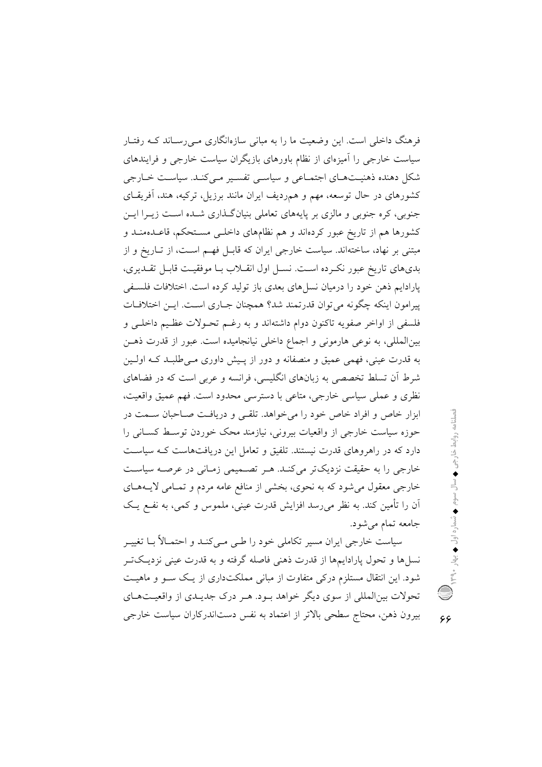فرهنگ داخلی است. این وضعیت ما را به مبانی سازهانگاری مـی(سـاند کـه رفتـار سیاست خارجی را آمیزهای از نظام باورهای بازیگران سیاست خارجی و فرایندهای شکل دهنده ذهنیـتهـای اجتمـاعی و سیاسـی تفسـیر مـیکنـد. سیاسـت خـارجی کشورهای در حال توسعه، مهم و همردیف ایران مانند برزیل، ترکیه، هند، آفریقـای جنوبی، کره جنوبی و مالزی بر پایههای تعاملی بنیانگذاری شـده اسـت زیــرا ایــن کشورها هم از تاریخ عبور کردهاند و هم نظامهای داخلـی مسـتحکم، قاعـدهمنـد و مبتنی بر نهاد، ساختهاند. سیاست خارجی ایران که قابـل فهـم اسـت، از تـاریخ و از بدیهای تاریخ عبور نکرده است. نسـل اول انقـلاب بـا موفقیـت قابـل تقـدیری، یارادایم ذهن خود را درمیان نسل های بعدی باز تولید کرده است. اختلافات فلسفی پیرامون اینکه چگونه می توان قدرتمند شد؟ همچنان جـاری اسـت. ایــن اختلافــات فلسفى از اواخر صفويه تاكنون دوام داشتهاند و به رغـم تحـولات عظـيم داخلـي و بین المللی، به نوعی هارمونی و اجماع داخلی نیانجامیده است. عبور از قدرت ذهـن به قدرت عینی، فهمی عمیق و منصفانه و دور از پـیش داوری مـیطلبـد کـه اولـین شرط آن تسلط تخصصی به زبانهای انگلیسی، فرانسه و عربی است که در فضاهای نظری و عملی سیاسی خارجی، متاعی با دسترسی محدود است. فهم عمیق واقعیت، ابزار خاص و افراد خاص خود را می خواهد. تلقبی و دریافت صـاحبان سـمت در حوزه سیاست خارجی از واقعیات بیرونی، نیازمند محک خوردن توسط کسـانی را دارد که در راهروهای قدرت نیستند. تلفیق و تعامل این دریافتهاست کـه سیاسـت خارجی را به حقیقت نزدیک تر می کنـد. هـر تصـمیمی زمـانی در عرصـه سیاسـت خارجی معقول می شود که به نحوی، بخشی از منافع عامه مردم و تمـامی لایــههـای آن را تأمین کند. به نظر می رسد افزایش قدرت عینی، ملموس و کمی، به نفـع یـک جامعه تمام می شود.

سیاست خارجی ایران مسیر تکاملی خود را طـی مـیکنـد و احتمـالأ بــا تغییــر نسلها و تحول پارادایمها از قدرت ذهنی فاصله گرفته و به قدرت عینی نزدیـکتـر شود. این انتقال مستلزم درکی متفاوت از مبانی مملکتداری از یـک سـو و ماهیـت تحولات بینالمللی از سوی دیگر خواهد بود. هـر درک جدیـدی از واقعیـتهـای بیرون ذهن، محتاج سطحی بالاتر از اعتماد به نفس دستاندرکاران سیاست خارجی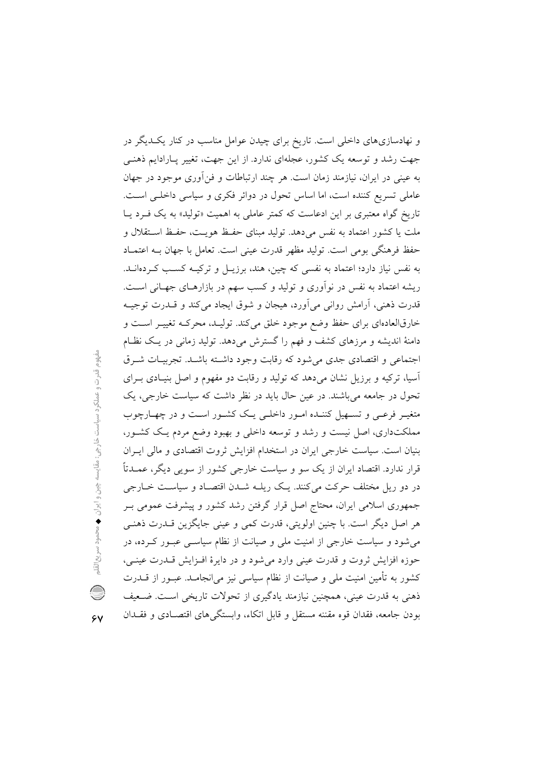و نهادسازی های داخلی است. تاریخ برای چیدن عوامل مناسب در کنار یک دیگر در جهت رشد و توسعه یک کشور، عجلهای ندارد. از این جهت، تغییر پـارادایم ذهنـی به عینی در ایران، نیازمند زمان است. هر چند ارتباطات و فن آوری موجود در جهان عاملی تسریع کننده است، اما اساس تحول در دوائر فکری و سیاسی داخلبی است. تاریخ گواه معتبری بر این ادعاست که کمتر عاملی به اهمیت «تولید» به یک فـرد یـا ملت یا کشور اعتماد به نفس میدهد. تولید مبنای حفظ هویـت، حفـظ اسـتقلال و حفظ فرهنگی بومی است. تولید مظهر قدرت عینی است. تعامل با جهان بـه اعتمـاد به نفس نیاز دارد؛ اعتماد به نفسی که چین، هند، برزیـل و ترکیــه کســب کــردهانــد. ریشه اعتماد به نفس در نوآوری و تولید و کسب سهم در بازارهـای جهـانی اسـت. قدرت ذهني، أرامش رواني مي أورد، هيجان و شوق ايجاد مي كند و قـــدرت توجيــه خارقالعادهای برای حفظ وضع موجود خلق می کند. تولیـد، محرکـه تغییـر اسـت و دامنهٔ اندیشه و مرزهای کشف و فهم را گسترش میدهد. تولید زمانی در یک نظام اجتماعی و اقتصادی جدی می شود که رقابت وجود داشته باشـد. تجربیـات شـرق آسیا، ترکیه و برزیل نشان میدهد که تولید و رقابت دو مفهوم و اصل بنیـادی بـرای تحول در جامعه می باشند. در عین حال باید در نظر داشت که سیاست خارجی، یک متغییر فرعبی و تسبهیل کننـده امـور داخلـی یـک کشـور اسـت و در چهـارچوب مملکتداری، اصل نیست و رشد و توسعه داخلی و بهبود وضع مردم یک کشـور، بنیان است. سیاست خارجی ایران در استخدام افزایش ثروت اقتصادی و مالی ایـران قرار ندارد. اقتصاد ایران از یک سو و سیاست خارجی کشور از سویی دیگر، عمــدتاً در دو ریل مختلف حرکت میکنند. یک ریلـه شـدن اقتصـاد و سیاسـت خـارجی جمهوری اسلامی ایران، محتاج اصل قرار گرفتن رشد کشور و پیشرفت عمومی بـر هر اصل دیگر است. با چنین اولویتی، قدرت کمی و عینی جایگزین قـدرت ذهنـی میشود و سیاست خارجی از امنیت ملی و صیانت از نظام سیاسـی عبـور کـرده، در حوزه افزایش ثروت و قدرت عینی وارد میشود و در دایرهٔ افـزایش قـدرت عینـی، کشور به تأمین امنیت ملی و صیانت از نظام سیاسی نیز می|نجامــد. عبــور از قـــدرت ذهنی به قدرت عینی، همچنین نیازمند یادگیری از تحولات تاریخی است. ضـعیف بودن جامعه، فقدان قوه مقننه مستقل و قابل اتکاء، وابستگی های اقتصـادی و فقــدان

 $\overline{\mathsf{y}}$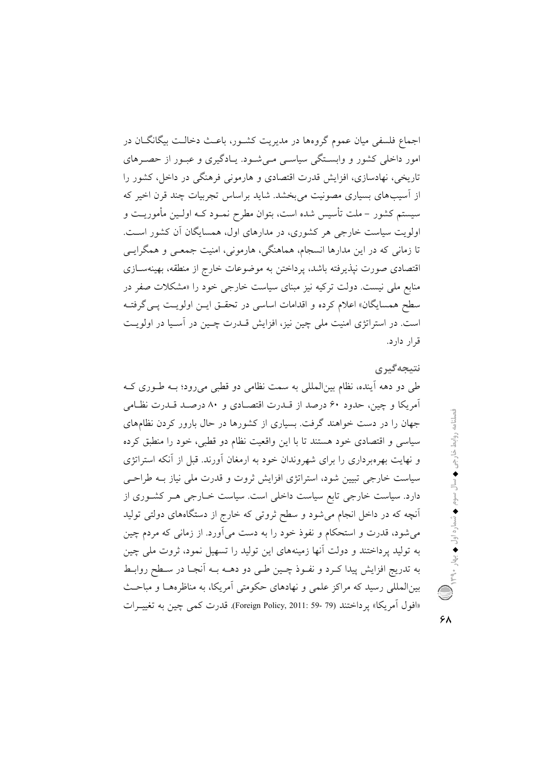اجماع فلسفی میان عموم گروهها در مدیریت کشـور، باعـث دخالـت بیگانگــان در امور داخلی کشور و وابستگی سیاسـی مـی شـود. پـادگیری و عبـور از حصـرهای تاریخی، نهادسازی، افزایش قدرت اقتصادی و هارمونی فرهنگی در داخل، کشور را از آسیبهای بسیاری مصونیت می بخشد. شاید براساس تجربیات چند قرن اخیر که سیستم کشور – ملت تأسیس شده است، بتوان مطرح نمـود کـه اولـین مأموریــت و اولویت سیاست خارجی هر کشوری، در مدارهای اول، همسایگان آن کشور است. تا زمانی که در این مدارها انسجام، هماهنگی، هارمونی، امنیت جمعـی و همگرایـی اقتصادی صورت نپذیرفته باشد، پرداختن به موضوعات خارج از منطقه، بهینهسـازی منابع ملی نیست. دولت ترکیه نیز مبنای سیاست خارجی خود را «مشکلات صفر در سطح همسایگان» اعلام کرده و اقدامات اساسی در تحقیق ایـن اولویـت یـی گرفتـه است. در استراتژی امنیت ملی چین نیز، افزایش قـدرت چـین در آسـیا در اولویـت قرار دارد.

## نتيجەگيرى

طی دو دهه آینده، نظام بینالمللی به سمت نظامی دو قطبی می رود؛ بـه طـوری کـه آمریکا و چین، حدود ۶۰ درصد از قــدرت اقتصــادی و ۸۰ درصــد قــدرت نظـامی جهان را در دست خواهند گرفت. بسیاری از کشورها در حال بارور کردن نظامهای سیاسی و اقتصادی خود هستند تا با این واقعیت نظام دو قطبی، خود را منطبق کرده و نهایت بهرهبرداری را برای شهروندان خود به ارمغان آورند. قبل از آنکه استراتژی سیاست خارجی تبیین شود، استراتژی افزایش ثروت و قدرت ملی نیاز بـه طراحـی دارد. سیاست خارجی تابع سیاست داخلی است. سیاست خـارجی هـر کشـوری از آنچه که در داخل انجام می شود و سطح ثروتی که خارج از دستگاههای دولتی تولید می شود، قدرت و استحکام و نفوذ خود را به دست می آورد. از زمانی که مردم چین به تولید پرداختند و دولت آنها زمینههای این تولید را تسهیل نمود، ثروت ملی چین به تدریج افزایش پیدا کـرد و نفـوذ چـین طـی دو دهــه بــه اَنجـا در سـطح روابــط بینالمللی رسید که مراکز علمی و نهادهای حکومتی آمریکا، به مناظرههـا و مباحـث «افول آمريكا» يرداختند (79 -59 :Foreign Policy, 2011). قدرت كمبي چين به تغييــرات

فصلنامه روابط خارجى ♦ سال سوم ♦ شماره اول ♦ يهار ٣٩٠٠\$ ( الله الله )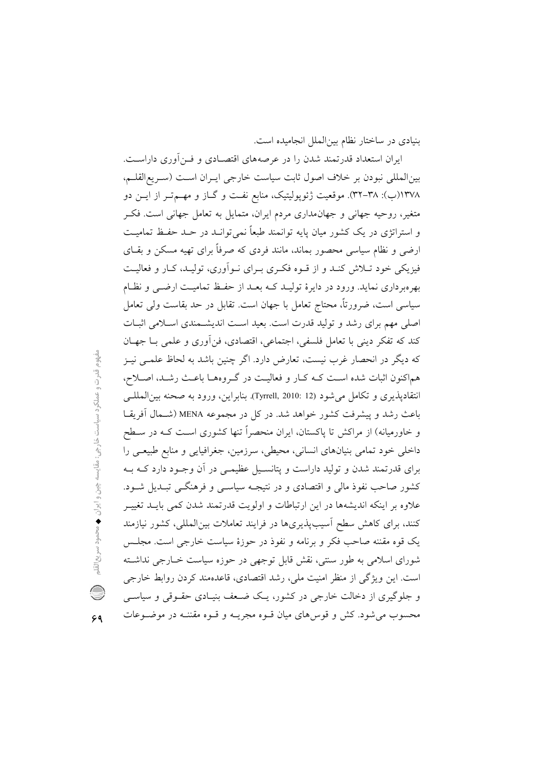بنیادی در ساختار نظام بین الملل انجامیده است.

ایران استعداد قدرتمند شدن را در عرصههای اقتصـادی و فـن|وری داراسـت. بين المللي نبودن بر خلاف اصول ثابت سياست خارجي ايـران اسـت (سـريع|لقلـم، ١٣٧٨(ب): ٣٨–٣٢). موقعيت ژئوپوليتيک، منابع نفت و گـاز و مهــمتـر از ايــن دو متغیر، روحیه جهانی و جهان۵داری مردم ایران، متمایل به تعامل جهانی است. فک و استراتژی در یک کشور میان پایه توانمند طبعاً نمیتوانـد در حـد حفـظ تمامیـت ارضی و نظام سیاسی محصور بماند، مانند فردی که صرفاً برای تهیه مسکن و بقـای فیزیکی خود تـلاش کنـد و از قــوه فکـری بـرای نــواّوری، تولیــد، کــار و فعالیــت بهرهبرداری نماید. ورود در دایرهٔ تولیـد کـه بعـد از حفـظ تمامیـت ارضـی و نظـام سیاسی است، ضرورتاً، محتاج تعامل با جهان است. تقابل در حد بقاست ولی تعامل اصلی مهم برای رشد و تولید قدرت است. بعید است اندیشمندی اسلامی اثبـات كند كه تفكر ديني با تعامل فلسفي، اجتماعي، اقتصادي، فنأوري و علمي بــا جهــان که دیگر در انحصار غرب نیست، تعارض دارد. اگر چنین باشد به لحاظ علمـی نیـز هماکنون اثبات شده است کـه کـار و فعالیـت در گـروههـا باعـث رشـد، اصـلاح، انتقاديذيري و تكامل مي شود (Tyrrell, 2010: 12). بنابراين، ورود به صحنه بين المللـي باعث رشد و پیشرفت کشور خواهد شد. در کل در مجموعه MENA (شـمال آفریقـا و خاورمیانه) از مراکش تا پاکستان، ایران منحصراً تنها کشوری اسـت کــه در ســطح داخلی خود تمامی بنیانهای انسانی، محیطی، سرزمین، جغرافیایی و منابع طبیعی را برای قدرتمند شدن و تولید داراست و پتانسـیل عظیمـی در آن وجـود دارد کــه بــه کشور صاحب نفوذ مالی و اقتصادی و در نتیجـه سیاسـبی و فرهنگـبی تبـدیل شـود. علاوه بر اینکه اندیشهها در این ارتباطات و اولویت قدرتمند شدن کمی بایـد تغییـر کنند، برای کاهش سطح آسیبپذیریها در فرایند تعاملات بینالمللی، کشور نیازمند یک قوه مقننه صاحب فکر و برنامه و نفوذ در حوزهٔ سیاست خارجی است. مجلـس شورای اسلامی به طور سنتی، نقش قابل توجهی در حوزه سیاست خـارجی نداشـته است. این ویژگی از منظر امنیت ملی، رشد اقتصادی، قاعدهمند کردن روابط خارجی و جلوگیری از دخالت خارجی در کشور، یک ضعف بنیـادی حقـوقی و سیاسـی محسوب می شود. کش و قوس های میان قـوه مجریــه و قـوه مقننــه در موضـوعات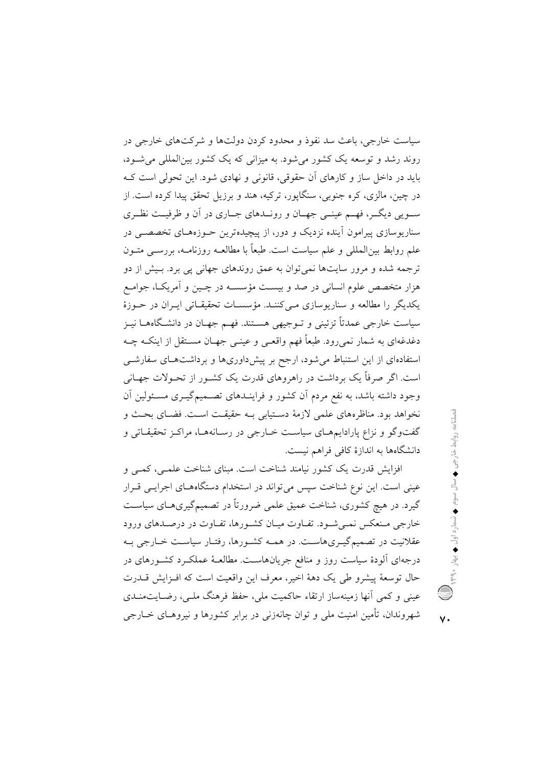سیاست خارجی، باعث سد نفوذ و محدود کردن دولتها و شرکتهای خارجی در روند رشد و توسعه یک کشور می شود. به میزانی که یک کشور بینالمللی می شـود، باید در داخل ساز و کارهای آن حقوقی، قانونی و نهادی شود. این تحولی است ک در چین، مالزی، کره جنوبی، سنگاپور، ترکیه، هند و برزیل تحقق پیدا کرده است. از سویی دیگـر، فهـم عینــی جهــان و رونــدهای جــاری در آن و ظرفیــت نظــری سناریوسازی پیرامون آینده نزدیک و دور، از پیچیدهترین حـوزههـای تخصصـی در علم روابط بین|لمللی و علم سیاست است. طبعاً با مطالعــه روزنامــه، بررســی متــون ترجمه شده و مرور سایتها نمی توان به عمق روندهای جهانی یی برد. بـیش از دو هزار متخصص علوم انسانی در صد و بیست مؤسسه در چـین و آمریکـا، جوامـع يکديگر را مطالعه و سناريوسازي مـي کننـد. مؤسسـات تحقيقـاتي ايـران در حـوزهٔ سیاست خارجی عمدتاً تزئینی و تــوجیهی هســتند. فهــم جهــان در دانشــگاههــا نیــز دغدغهای به شمار نمی٫ود. طبعاً فهم واقعـی و عینـی جهـان مســتقل از اینکــه چــه استفادهای از این استنباط می شود، ارجح بر پیش داوریها و برداشتهای سفارشی است. اگر صرفاً یک برداشت در راهروهای قدرت یک کشـور از تحـولات جهـانی وجود داشته باشد، به نفع مردم أن كشور و فراينــدهاى تصــميمگيــرى مســئولين أن نخواهد بود. مناظرههای علمی لازمهٔ دستیابی بـه حقیقـت اسـت. فضـای بحـث و گفتوگو و نزاع پارادایمهای سیاست خـارجی در رسـانههـا، مراکـز تحقیقـاتی و دانشگاهها به اندازهٔ کافی فراهم نیست.

افزایش قدرت یک کشور نیامند شناخت است. مبنای شناخت علمبی، کمبی و عینی است. این نوع شناخت سپس میتواند در استخدام دستگاههـای اجرایـی قـرار گیرد. در هیچ کشوری، شناخت عمیق علمی ضرورتاً در تصمیمگیریهـای سیاسـت خارجی مـنعکس نمـی شـود. تفـاوت میـان کشـورها، تفـاوت در درصـدهای ورود عقلانیت در تصمیمگیـریهاسـت. در همـه کشـورها، رفتـار سیاسـت خـارجی بـه درجهای الودهٔ سیاست روز و منافع جریانهاست. مطالعـهٔ عملکـرد کشـورهای در حال توسعهٔ پیشرو طی یک دههٔ اخیر، معرف این واقعیت است که افـزایش قــدرت عینی و کمی آنها زمینهساز ارتقاء حاکمیت ملی، حفظ فرهنگ ملـی، رضـایتمنــدی شهروندان، تأمین امنیت ملی و توان چانهزنی در برابر کشورها و نیروهـای خــارجی

 $\vee$ .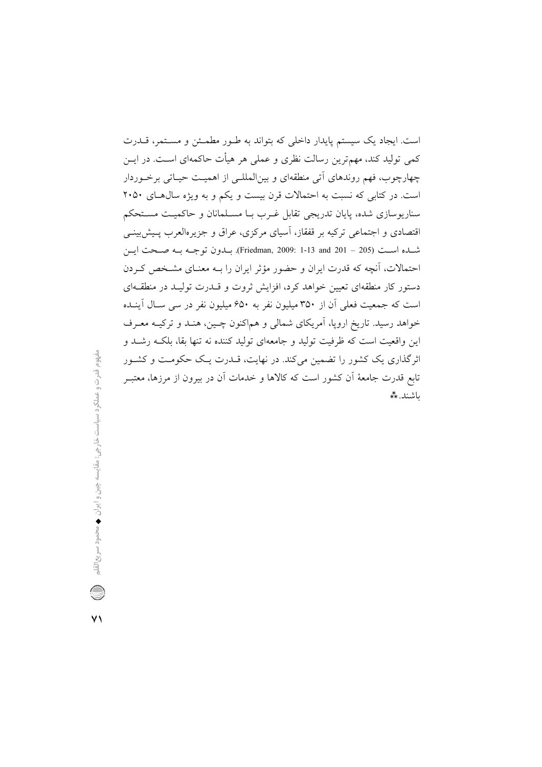است. ایجاد یک سیستم پایدار داخلی که بتواند به طـور مطمـئن و مسـتمر، قــدرت کمی تولید کند، مهمترین رسالت نظری و عملی هر هیأت حاکمهای اسـت. در ایــن چهارچوب، فهم روندهای آتی منطقهای و بینالمللے از اهمیت حیـاتی برخـوردار است. در کتابی که نسبت به احتمالات قرن بیست و یکم و به ویژه سال های ۲۰۵۰ سناریوسازی شده، پایان تدریجی تقابل غـرب بـا مسـلمانان و حاکمیـت مسـتحکم اقتصادی و اجتماعی ترکیه بر قفقاز، آسیای مرکزی، عراق و جزیرهالعرب پـیش:بینــی شـده اسـت (205 – 201 I-13 and 201). بـدون توجـه بـه صـحت ايـن احتمالات، أنچه كه قدرت ايران و حضور مؤثر ايران را بــه معنــاي مشــخص كــردن دستور کار منطقهای تعیین خواهد کرد، افزایش ثروت و قــدرت تولیــد در منطقــهای است که جمعیت فعلی آن از ۳۵۰ میلیون نفر به ۶۵۰ میلیون نفر در سی سـال آینــده خواهد رسید. تاریخ اروپا، آمریکای شمالی و هماکنون چـین، هنـد و ترکیــه معـرف این واقعیت است که ظرفیت تولید و جامعهای تولید کننده نه تنها بقا، بلکـه رشـد و اثرگذاری یک کشور را تضمین میکند. در نهایت، قــدرت یــک حکومــت و کشــور تابع قدرت جامعهٔ اَن کشور است که کالاها و خدمات اَن در بیرون از مرزها، معتبــر ىاشند.\*\*

 $\vee$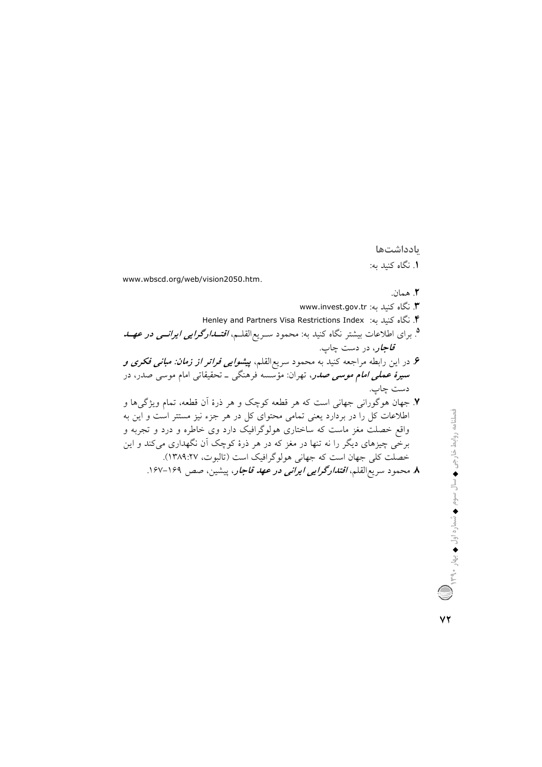بادداشتها 1. نگاه کنید به:

٢. همان.

www.wbscd.org/web/vision2050.htm.

۳. نگاه کنید به: www.invest.gov.tr

ا. نگاه کنید به: Henley and Partners Visa Restrictions Index

<sup>۵</sup>. برای اطلاعات بیشتر نگاه کنید به: محمود سـریع|لقلــم، *اقتـــدارگرایی ایرانـــی در عهـــد* قاجار، در دست چاپ. ۶. در این رابطه مراجعه کنید به محمود سریع|لقلم، **پی***شوایی فراتر از زمان: مبانی فکری و* **سیرهٔ عمل***ی امام موسی صدر***،** تهران: مؤسسه فرهنگی ــ تحقیقاتی امام موسی صدر، در دست چاپ. ۷. جهان هوگورانی جهانی است که هر قطعه کوچک و هر ذرهٔ اَن قطعه، تمام ویژگیها و

اطلاعات کل را در بردارد یعنی تمامی محتوای کل در هر جزء نیز مستتر است و این به واقع خصلت مغز ماست که ساختاری هولوگرافیک دارد وی خاطره و درد و تجربه و برخی چیزهای دیگر را نه تنها در مغز که در هر ذرهٔ کوچک آن نگهداری میکند و این خصلت کلی جهان است که جهانی هولوگرافیک است (تالبوت، ۱۳۸۹:۲۷). ۸. محمود سریع|لقلم، *اقتدارگرایی ایرانی در عهد قاجار*، پیشین، صص ۱۶۹–۱۶۷.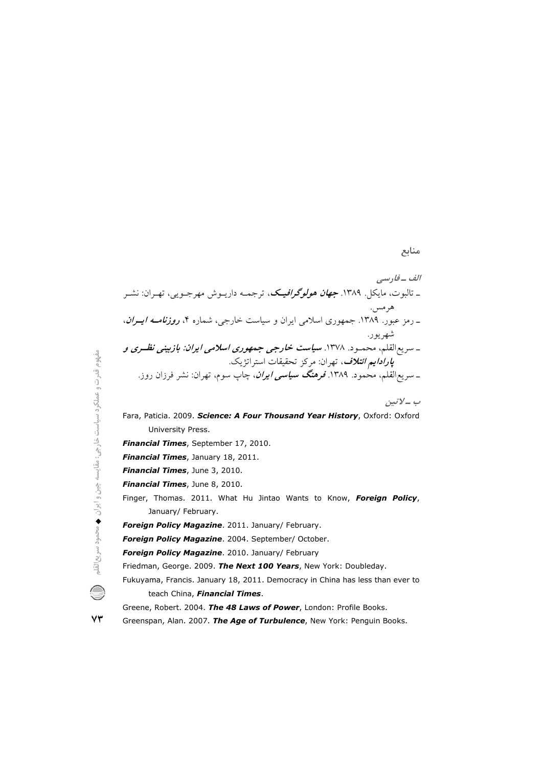## منابع

ب ــالاتين

Fara, Paticia. 2009. Science: A Four Thousand Year History, Oxford: Oxford University Press.

Financial Times, September 17, 2010.

Financial Times, January 18, 2011.

Financial Times, June 3, 2010.

Financial Times, June 8, 2010.

Finger, Thomas. 2011. What Hu Jintao Wants to Know, Foreign Policy, January/ February.

Foreign Policy Magazine. 2011. January/ February.

Foreign Policy Magazine. 2004. September/ October.

Foreign Policy Magazine. 2010. January/ February

Friedman, George. 2009. The Next 100 Years, New York: Doubleday.

Fukuyama, Francis. January 18, 2011. Democracy in China has less than ever to teach China, Financial Times.

Greene, Robert. 2004. The 48 Laws of Power, London: Profile Books.

Greenspan, Alan. 2007. The Age of Turbulence, New York: Penguin Books.

 $YY$